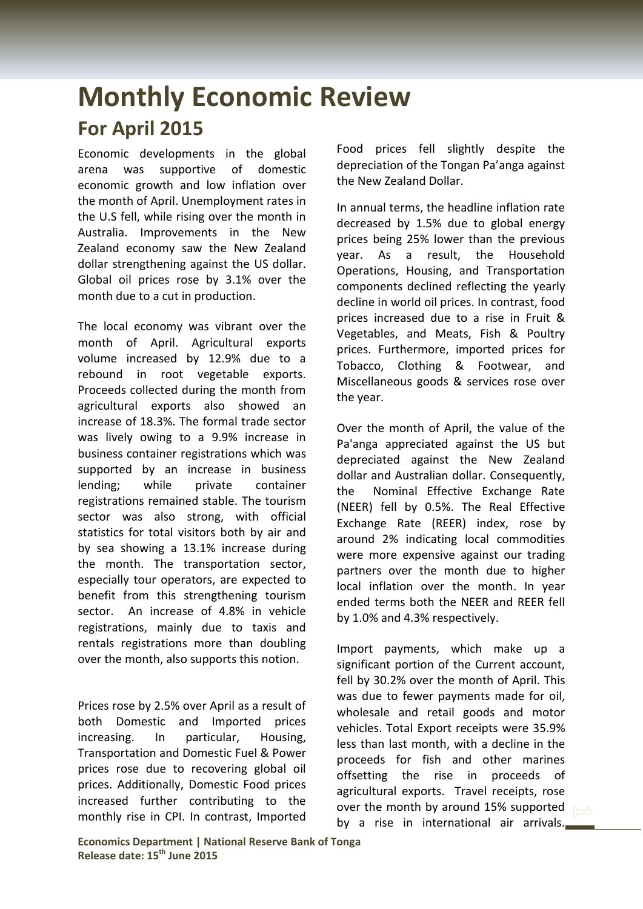## **Monthly Economic Review For April 2015**

Economic developments in the global arena was supportive of domestic economic growth and low inflation over the month of April. Unemployment rates in the U.S fell, while rising over the month in Australia. Improvements in the New Zealand economy saw the New Zealand dollar strengthening against the US dollar. Global oil prices rose by 3.1% over the month due to a cut in production.

The local economy was vibrant over the month of April. Agricultural exports volume increased by 12.9% due to a rebound in root vegetable exports. Proceeds collected during the month from agricultural exports also showed an increase of 18.3%. The formal trade sector was lively owing to a 9.9% increase in business container registrations which was supported by an increase in business lending; while private container registrations remained stable. The tourism sector was also strong, with official statistics for total visitors both by air and by sea showing a 13.1% increase during the month. The transportation sector, especially tour operators, are expected to benefit from this strengthening tourism sector. An increase of 4.8% in vehicle registrations, mainly due to taxis and rentals registrations more than doubling over the month, also supports this notion.

Prices rose by 2.5% over April as a result of both Domestic and Imported prices increasing. In particular, Housing, Transportation and Domestic Fuel & Power prices rose due to recovering global oil prices. Additionally, Domestic Food prices increased further contributing to the monthly rise in CPI. In contrast, Imported

Food prices fell slightly despite the depreciation of the Tongan Pa'anga against the New Zealand Dollar.

In annual terms, the headline inflation rate decreased by 1.5% due to global energy prices being 25% lower than the previous year. As a result, the Household Operations, Housing, and Transportation components declined reflecting the yearly decline in world oil prices. In contrast, food prices increased due to a rise in Fruit & Vegetables, and Meats, Fish & Poultry prices. Furthermore, imported prices for Tobacco, Clothing & Footwear, and Miscellaneous goods & services rose over the year.

Over the month of April, the value of the Pa'anga appreciated against the US but depreciated against the New Zealand dollar and Australian dollar. Consequently, the Nominal Effective Exchange Rate (NEER) fell by 0.5%. The Real Effective Exchange Rate (REER) index, rose by around 2% indicating local commodities were more expensive against our trading partners over the month due to higher local inflation over the month. In year ended terms both the NEER and REER fell by 1.0% and 4.3% respectively.

Import payments, which make up a significant portion of the Current account, fell by 30.2% over the month of April. This was due to fewer payments made for oil, wholesale and retail goods and motor vehicles. Total Export receipts were 35.9% less than last month, with a decline in the proceeds for fish and other marines offsetting the rise in proceeds of agricultural exports. Travel receipts, rose over the month by around 15% supported by a rise in international air arrivals.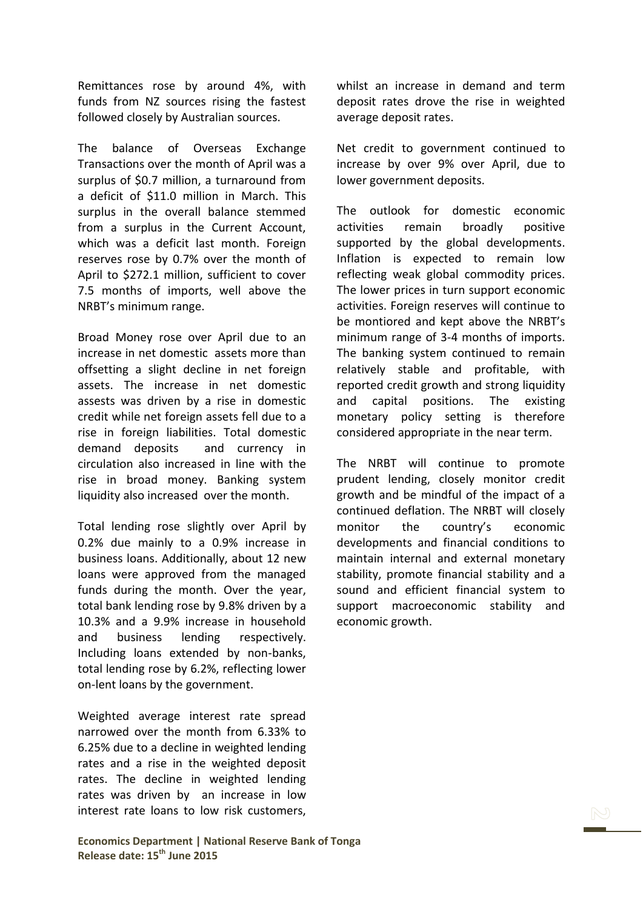Remittances rose by around 4%, with funds from NZ sources rising the fastest followed closely by Australian sources.

The balance of Overseas Exchange Transactions over the month of April was a surplus of \$0.7 million, a turnaround from a deficit of \$11.0 million in March. This surplus in the overall balance stemmed from a surplus in the Current Account, which was a deficit last month. Foreign reserves rose by 0.7% over the month of April to \$272.1 million, sufficient to cover 7.5 months of imports, well above the NRBT's minimum range.

Broad Money rose over April due to an increase in net domestic assets more than offsetting a slight decline in net foreign assets. The increase in net domestic assests was driven by a rise in domestic credit while net foreign assets fell due to a rise in foreign liabilities. Total domestic demand deposits and currency in circulation also increased in line with the rise in broad money. Banking system liquidity also increased over the month.

Total lending rose slightly over April by 0.2% due mainly to a 0.9% increase in business loans. Additionally, about 12 new loans were approved from the managed funds during the month. Over the year, total bank lending rose by 9.8% driven by a 10.3% and a 9.9% increase in household and business lending respectively. Including loans extended by non-banks, total lending rose by 6.2%, reflecting lower on-lent loans by the government.

Weighted average interest rate spread narrowed over the month from 6.33% to 6.25% due to a decline in weighted lending rates and a rise in the weighted deposit rates. The decline in weighted lending rates was driven by an increase in low interest rate loans to low risk customers,

whilst an increase in demand and term deposit rates drove the rise in weighted average deposit rates.

Net credit to government continued to increase by over 9% over April, due to lower government deposits.

The outlook for domestic economic activities remain broadly positive supported by the global developments. Inflation is expected to remain low reflecting weak global commodity prices. The lower prices in turn support economic activities. Foreign reserves will continue to be montiored and kept above the NRBT's minimum range of 3-4 months of imports. The banking system continued to remain relatively stable and profitable, with reported credit growth and strong liquidity and capital positions. The existing monetary policy setting is therefore considered appropriate in the near term.

The NRBT will continue to promote prudent lending, closely monitor credit growth and be mindful of the impact of a continued deflation. The NRBT will closely monitor the country's economic developments and financial conditions to maintain internal and external monetary stability, promote financial stability and a sound and efficient financial system to support macroeconomic stability and economic growth.